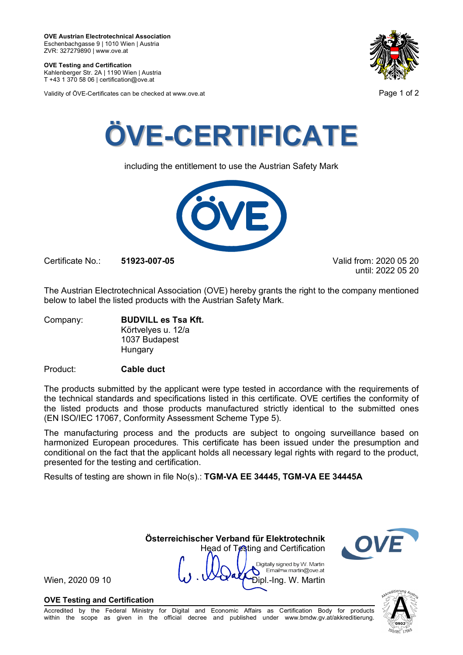**OVE Testing and Certification** Kahlenberger Str. 2A | 1190 Wien | Austria

T +43 1 370 58 06 | certification@ove.at

Validity of ÖVE-Certificates can be checked at www.ove.at **Page 1 of 2** Page 1 of 2





including the entitlement to use the Austrian Safety Mark



Certificate No.: **51923-007-05** Valid from: 2020 05 20

until: 2022 05 20

The Austrian Electrotechnical Association (OVE) hereby grants the right to the company mentioned below to label the listed products with the Austrian Safety Mark.

Company: **BUDVILL es Tsa Kft.** Körtvelyes u. 12/a 1037 Budapest **Hungary** 

# Product: **Cable duct**

The products submitted by the applicant were type tested in accordance with the requirements of the technical standards and specifications listed in this certificate. OVE certifies the conformity of the listed products and those products manufactured strictly identical to the submitted ones (EN ISO/IEC 17067, Conformity Assessment Scheme Type 5).

The manufacturing process and the products are subject to ongoing surveillance based on harmonized European procedures. This certificate has been issued under the presumption and conditional on the fact that the applicant holds all necessary legal rights with regard to the product, presented for the testing and certification.

Results of testing are shown in file No(s).: **TGM-VA EE 34445, TGM-VA EE 34445A**

Head of Testing and Certification Digitally signed by W. Martin Email=w.martin@ove.at

**Österreichischer Verband für Elektrotechnik**

Wien, 2020 09 10  $\vee$   $\vee$   $\vee$   $\vee$   $\vee$   $\vee$   $\vee$   $\vee$   $\vee$   $\vee$   $\vee$   $\vee$   $\vee$   $\vee$   $\vee$   $\vee$   $\vee$   $\vee$   $\vee$   $\vee$   $\vee$   $\vee$   $\vee$   $\vee$   $\vee$   $\vee$   $\vee$   $\vee$   $\vee$   $\vee$   $\vee$   $\vee$   $\vee$   $\vee$ 

# **OVE Testing and Certification**

Accredited by the Federal Ministry for Digital and Economic Affairs as Certification Body for products within the scope as given in the official decree and published under www.bmdw.gv.at/akkreditierung.